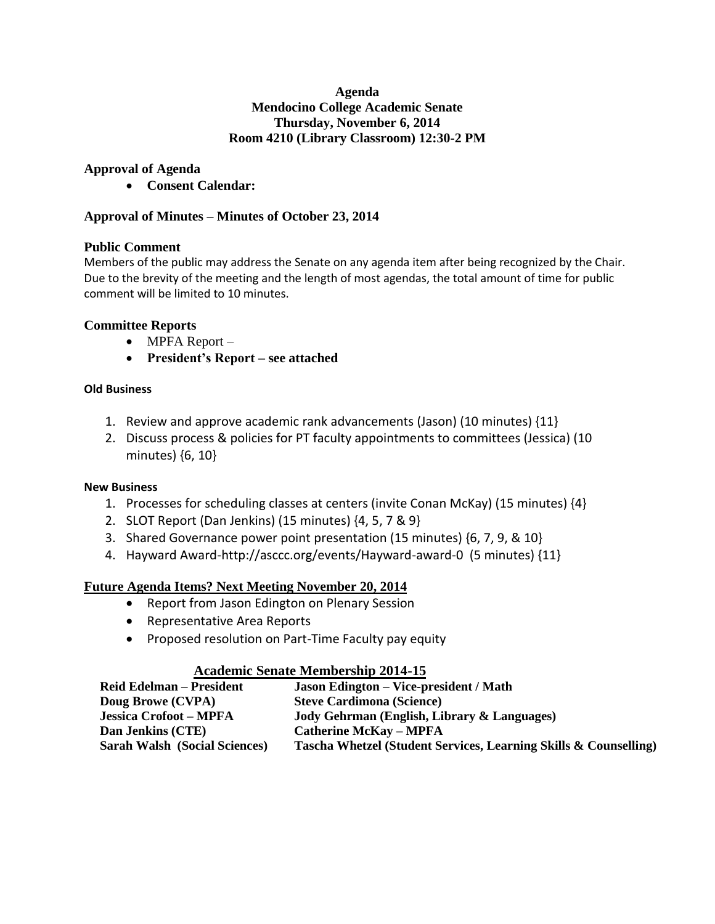## **Agenda Mendocino College Academic Senate Thursday, November 6, 2014 Room 4210 (Library Classroom) 12:30-2 PM**

## **Approval of Agenda**

**Consent Calendar:**

## **Approval of Minutes – Minutes of October 23, 2014**

## **Public Comment**

Members of the public may address the Senate on any agenda item after being recognized by the Chair. Due to the brevity of the meeting and the length of most agendas, the total amount of time for public comment will be limited to 10 minutes.

## **Committee Reports**

- MPFA Report –
- **President's Report – see attached**

## **Old Business**

- 1. Review and approve academic rank advancements (Jason) (10 minutes)  $\{11\}$
- 2. Discuss process & policies for PT faculty appointments to committees (Jessica) (10 minutes) {6, 10}

### **New Business**

- 1. Processes for scheduling classes at centers (invite Conan McKay) (15 minutes) {4}
- 2. SLOT Report (Dan Jenkins) (15 minutes) {4, 5, 7 & 9}
- 3. Shared Governance power point presentation (15 minutes) {6, 7, 9, & 10}
- 4. Hayward Award-http://asccc.org/events/Hayward-award-0 (5 minutes) {11}

## **Future Agenda Items? Next Meeting November 20, 2014**

- Report from Jason Edington on Plenary Session
- Representative Area Reports
- Proposed resolution on Part-Time Faculty pay equity

## **Academic Senate Membership 2014-15**

| <b>Jason Edington – Vice-president / Math</b>                    |
|------------------------------------------------------------------|
| <b>Steve Cardimona (Science)</b>                                 |
| Jody Gehrman (English, Library & Languages)                      |
| <b>Catherine McKay - MPFA</b>                                    |
| Tascha Whetzel (Student Services, Learning Skills & Counselling) |
|                                                                  |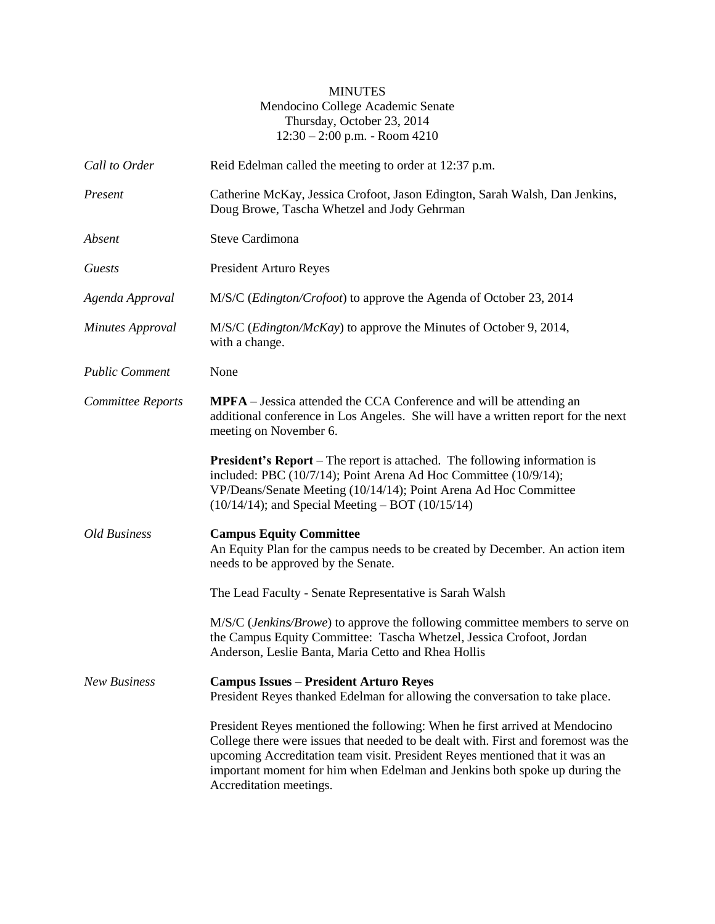## MINUTES Mendocino College Academic Senate Thursday, October 23, 2014 12:30 – 2:00 p.m. - Room 4210

| Call to Order           | Reid Edelman called the meeting to order at 12:37 p.m.                                                                                                                                                                                                                                                                                                    |  |
|-------------------------|-----------------------------------------------------------------------------------------------------------------------------------------------------------------------------------------------------------------------------------------------------------------------------------------------------------------------------------------------------------|--|
| Present                 | Catherine McKay, Jessica Crofoot, Jason Edington, Sarah Walsh, Dan Jenkins,<br>Doug Browe, Tascha Whetzel and Jody Gehrman                                                                                                                                                                                                                                |  |
| Absent                  | <b>Steve Cardimona</b>                                                                                                                                                                                                                                                                                                                                    |  |
| Guests                  | President Arturo Reyes                                                                                                                                                                                                                                                                                                                                    |  |
| Agenda Approval         | M/S/C ( <i>Edington/Crofoot</i> ) to approve the Agenda of October 23, 2014                                                                                                                                                                                                                                                                               |  |
| <b>Minutes Approval</b> | M/S/C ( <i>Edington/McKay</i> ) to approve the Minutes of October 9, 2014,<br>with a change.                                                                                                                                                                                                                                                              |  |
| <b>Public Comment</b>   | None                                                                                                                                                                                                                                                                                                                                                      |  |
| Committee Reports       | MPFA - Jessica attended the CCA Conference and will be attending an<br>additional conference in Los Angeles. She will have a written report for the next<br>meeting on November 6.                                                                                                                                                                        |  |
|                         | <b>President's Report</b> – The report is attached. The following information is<br>included: PBC (10/7/14); Point Arena Ad Hoc Committee (10/9/14);<br>VP/Deans/Senate Meeting (10/14/14); Point Arena Ad Hoc Committee<br>$(10/14/14)$ ; and Special Meeting – BOT $(10/15/14)$                                                                         |  |
| Old Business            | <b>Campus Equity Committee</b><br>An Equity Plan for the campus needs to be created by December. An action item<br>needs to be approved by the Senate.                                                                                                                                                                                                    |  |
|                         | The Lead Faculty - Senate Representative is Sarah Walsh                                                                                                                                                                                                                                                                                                   |  |
|                         | M/S/C (Jenkins/Browe) to approve the following committee members to serve on<br>the Campus Equity Committee: Tascha Whetzel, Jessica Crofoot, Jordan<br>Anderson, Leslie Banta, Maria Cetto and Rhea Hollis                                                                                                                                               |  |
| <b>New Business</b>     | <b>Campus Issues - President Arturo Reyes</b><br>President Reyes thanked Edelman for allowing the conversation to take place.                                                                                                                                                                                                                             |  |
|                         | President Reyes mentioned the following: When he first arrived at Mendocino<br>College there were issues that needed to be dealt with. First and foremost was the<br>upcoming Accreditation team visit. President Reyes mentioned that it was an<br>important moment for him when Edelman and Jenkins both spoke up during the<br>Accreditation meetings. |  |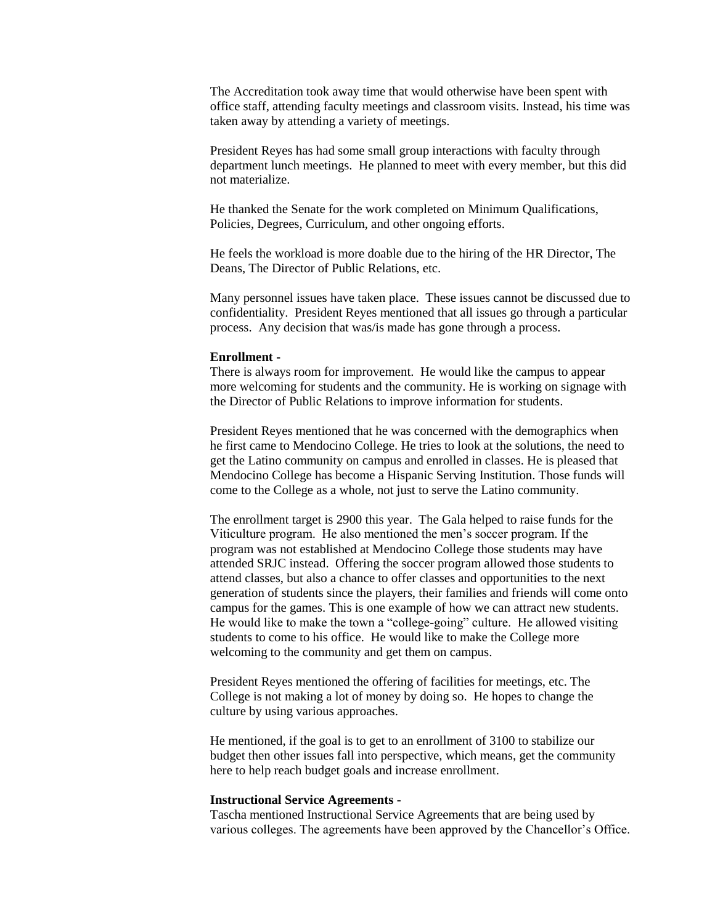The Accreditation took away time that would otherwise have been spent with office staff, attending faculty meetings and classroom visits. Instead, his time was taken away by attending a variety of meetings.

President Reyes has had some small group interactions with faculty through department lunch meetings. He planned to meet with every member, but this did not materialize.

He thanked the Senate for the work completed on Minimum Qualifications, Policies, Degrees, Curriculum, and other ongoing efforts.

He feels the workload is more doable due to the hiring of the HR Director, The Deans, The Director of Public Relations, etc.

Many personnel issues have taken place. These issues cannot be discussed due to confidentiality. President Reyes mentioned that all issues go through a particular process. Any decision that was/is made has gone through a process.

#### **Enrollment -**

There is always room for improvement. He would like the campus to appear more welcoming for students and the community. He is working on signage with the Director of Public Relations to improve information for students.

President Reyes mentioned that he was concerned with the demographics when he first came to Mendocino College. He tries to look at the solutions, the need to get the Latino community on campus and enrolled in classes. He is pleased that Mendocino College has become a Hispanic Serving Institution. Those funds will come to the College as a whole, not just to serve the Latino community.

The enrollment target is 2900 this year. The Gala helped to raise funds for the Viticulture program. He also mentioned the men's soccer program. If the program was not established at Mendocino College those students may have attended SRJC instead. Offering the soccer program allowed those students to attend classes, but also a chance to offer classes and opportunities to the next generation of students since the players, their families and friends will come onto campus for the games. This is one example of how we can attract new students. He would like to make the town a "college-going" culture. He allowed visiting students to come to his office. He would like to make the College more welcoming to the community and get them on campus.

President Reyes mentioned the offering of facilities for meetings, etc. The College is not making a lot of money by doing so. He hopes to change the culture by using various approaches.

He mentioned, if the goal is to get to an enrollment of 3100 to stabilize our budget then other issues fall into perspective, which means, get the community here to help reach budget goals and increase enrollment.

#### **Instructional Service Agreements -**

Tascha mentioned Instructional Service Agreements that are being used by various colleges. The agreements have been approved by the Chancellor's Office.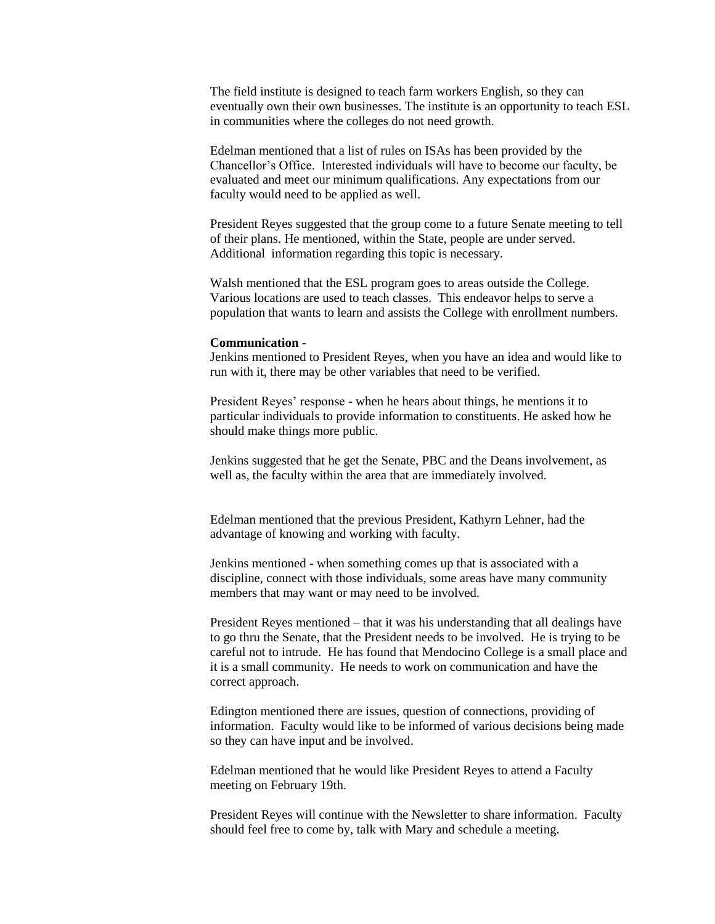The field institute is designed to teach farm workers English, so they can eventually own their own businesses. The institute is an opportunity to teach ESL in communities where the colleges do not need growth.

Edelman mentioned that a list of rules on ISAs has been provided by the Chancellor's Office. Interested individuals will have to become our faculty, be evaluated and meet our minimum qualifications. Any expectations from our faculty would need to be applied as well.

President Reyes suggested that the group come to a future Senate meeting to tell of their plans. He mentioned, within the State, people are under served. Additional information regarding this topic is necessary.

Walsh mentioned that the ESL program goes to areas outside the College. Various locations are used to teach classes. This endeavor helps to serve a population that wants to learn and assists the College with enrollment numbers.

#### **Communication -**

Jenkins mentioned to President Reyes, when you have an idea and would like to run with it, there may be other variables that need to be verified.

President Reyes' response - when he hears about things, he mentions it to particular individuals to provide information to constituents. He asked how he should make things more public.

Jenkins suggested that he get the Senate, PBC and the Deans involvement, as well as, the faculty within the area that are immediately involved.

Edelman mentioned that the previous President, Kathyrn Lehner, had the advantage of knowing and working with faculty.

Jenkins mentioned - when something comes up that is associated with a discipline, connect with those individuals, some areas have many community members that may want or may need to be involved.

President Reyes mentioned – that it was his understanding that all dealings have to go thru the Senate, that the President needs to be involved. He is trying to be careful not to intrude. He has found that Mendocino College is a small place and it is a small community. He needs to work on communication and have the correct approach.

Edington mentioned there are issues, question of connections, providing of information. Faculty would like to be informed of various decisions being made so they can have input and be involved.

Edelman mentioned that he would like President Reyes to attend a Faculty meeting on February 19th.

President Reyes will continue with the Newsletter to share information. Faculty should feel free to come by, talk with Mary and schedule a meeting.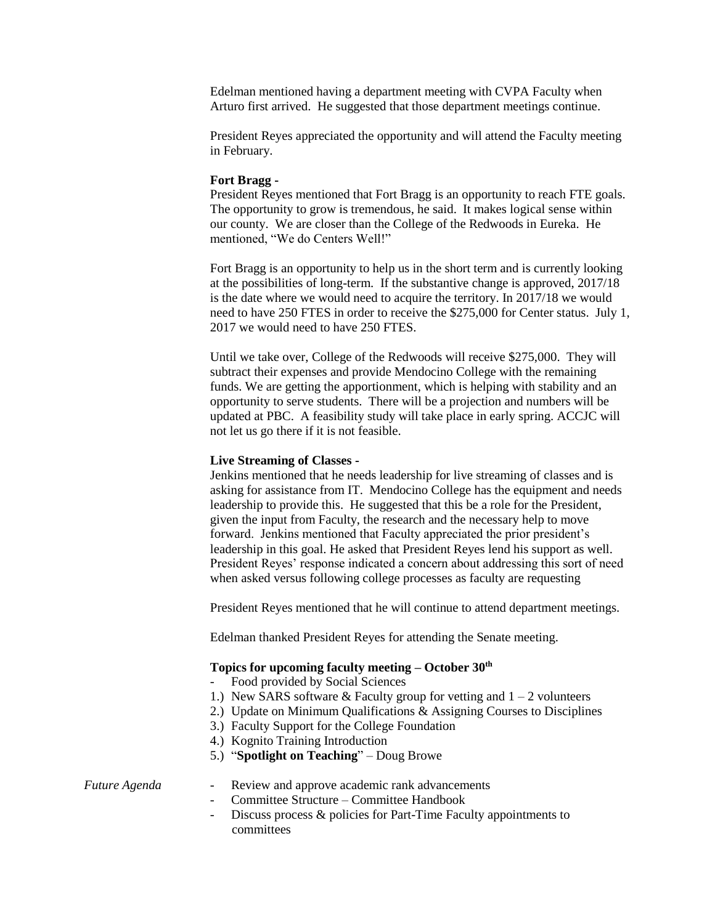Edelman mentioned having a department meeting with CVPA Faculty when Arturo first arrived. He suggested that those department meetings continue.

President Reyes appreciated the opportunity and will attend the Faculty meeting in February.

#### **Fort Bragg -**

President Reyes mentioned that Fort Bragg is an opportunity to reach FTE goals. The opportunity to grow is tremendous, he said. It makes logical sense within our county. We are closer than the College of the Redwoods in Eureka. He mentioned, "We do Centers Well!"

Fort Bragg is an opportunity to help us in the short term and is currently looking at the possibilities of long-term. If the substantive change is approved, 2017/18 is the date where we would need to acquire the territory. In 2017/18 we would need to have 250 FTES in order to receive the \$275,000 for Center status. July 1, 2017 we would need to have 250 FTES.

Until we take over, College of the Redwoods will receive \$275,000. They will subtract their expenses and provide Mendocino College with the remaining funds. We are getting the apportionment, which is helping with stability and an opportunity to serve students. There will be a projection and numbers will be updated at PBC. A feasibility study will take place in early spring. ACCJC will not let us go there if it is not feasible.

#### **Live Streaming of Classes -**

Jenkins mentioned that he needs leadership for live streaming of classes and is asking for assistance from IT. Mendocino College has the equipment and needs leadership to provide this. He suggested that this be a role for the President, given the input from Faculty, the research and the necessary help to move forward. Jenkins mentioned that Faculty appreciated the prior president's leadership in this goal. He asked that President Reyes lend his support as well. President Reyes' response indicated a concern about addressing this sort of need when asked versus following college processes as faculty are requesting

President Reyes mentioned that he will continue to attend department meetings.

Edelman thanked President Reyes for attending the Senate meeting.

#### **Topics for upcoming faculty meeting – October 30th**

- Food provided by Social Sciences
- 1.) New SARS software  $&$  Faculty group for vetting and  $1 2$  volunteers
- 2.) Update on Minimum Qualifications & Assigning Courses to Disciplines
- 3.) Faculty Support for the College Foundation
- 4.) Kognito Training Introduction
- 5.) "**Spotlight on Teaching**" Doug Browe

#### *Future Agenda -* Review and approve academic rank advancements

- *-* Committee Structure Committee Handbook
- *-* Discuss process & policies for Part-Time Faculty appointments to committees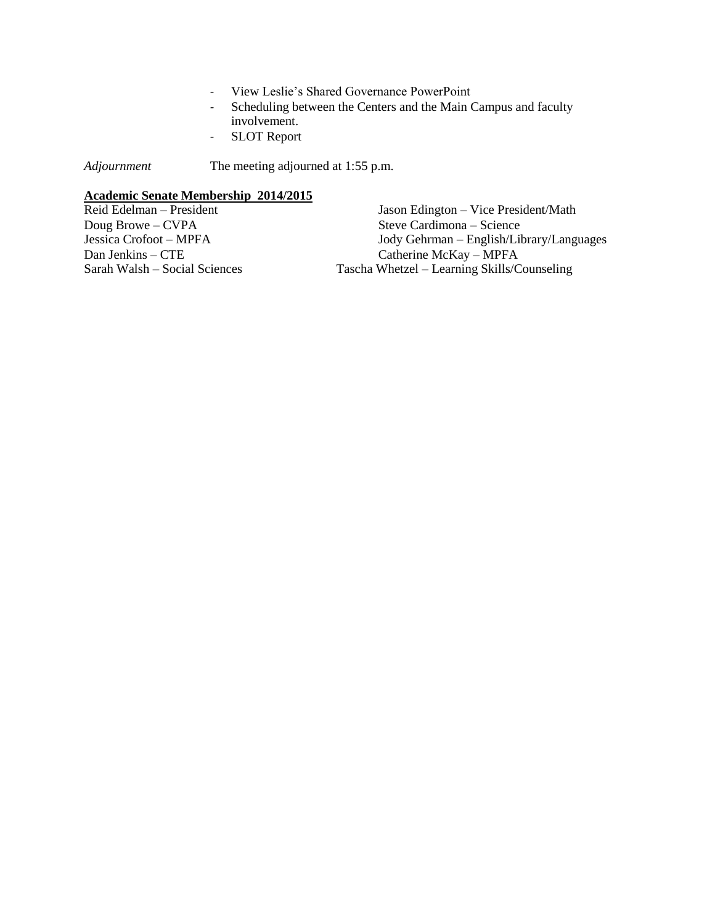- *-* View Leslie's Shared Governance PowerPoint
- *-* Scheduling between the Centers and the Main Campus and faculty involvement.
- *-* SLOT Report

*Adjournment* The meeting adjourned at 1:55 p.m.

## **Academic Senate Membership 2014/2015**

| Reid Edelman – President      | Jason Edington – Vice President/Math        |
|-------------------------------|---------------------------------------------|
| Doug Browe $-CVPA$            | Steve Cardimona – Science                   |
| Jessica Crofoot – MPFA        | Jody Gehrman – English/Library/Languages    |
| $Dan$ Jenkins $-$ CTE         | Catherine McKay – MPFA                      |
| Sarah Walsh – Social Sciences | Tascha Whetzel – Learning Skills/Counseling |
|                               |                                             |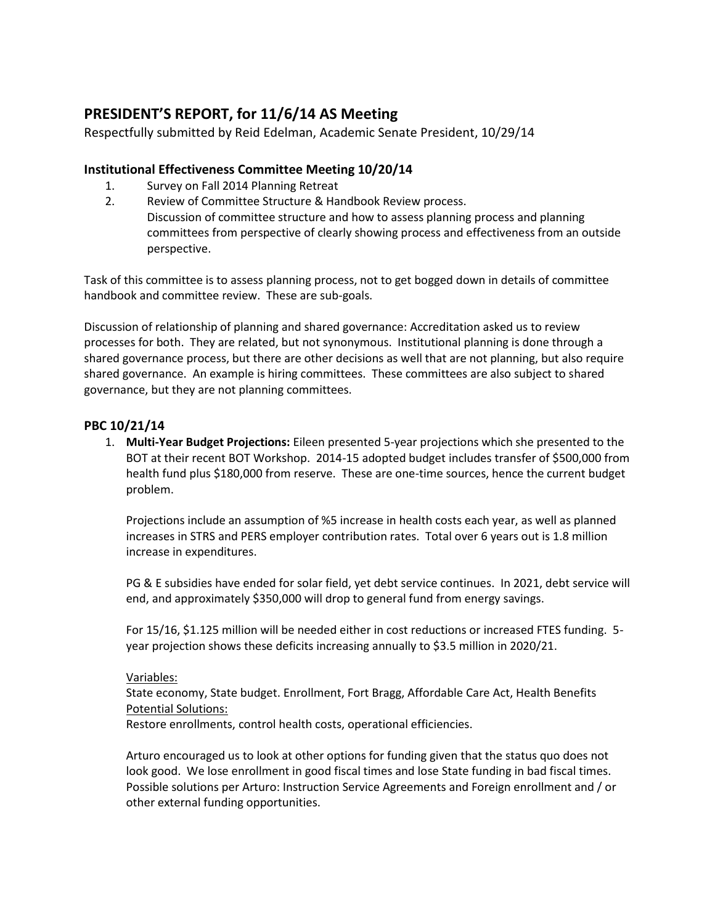# **PRESIDENT'S REPORT, for 11/6/14 AS Meeting**

Respectfully submitted by Reid Edelman, Academic Senate President, 10/29/14

## **Institutional Effectiveness Committee Meeting 10/20/14**

- 1. Survey on Fall 2014 Planning Retreat
- 2. Review of Committee Structure & Handbook Review process. Discussion of committee structure and how to assess planning process and planning committees from perspective of clearly showing process and effectiveness from an outside perspective.

Task of this committee is to assess planning process, not to get bogged down in details of committee handbook and committee review. These are sub-goals.

Discussion of relationship of planning and shared governance: Accreditation asked us to review processes for both. They are related, but not synonymous. Institutional planning is done through a shared governance process, but there are other decisions as well that are not planning, but also require shared governance. An example is hiring committees. These committees are also subject to shared governance, but they are not planning committees.

## **PBC 10/21/14**

1. **Multi-Year Budget Projections:** Eileen presented 5-year projections which she presented to the BOT at their recent BOT Workshop. 2014-15 adopted budget includes transfer of \$500,000 from health fund plus \$180,000 from reserve. These are one-time sources, hence the current budget problem.

Projections include an assumption of %5 increase in health costs each year, as well as planned increases in STRS and PERS employer contribution rates. Total over 6 years out is 1.8 million increase in expenditures.

PG & E subsidies have ended for solar field, yet debt service continues. In 2021, debt service will end, and approximately \$350,000 will drop to general fund from energy savings.

For 15/16, \$1.125 million will be needed either in cost reductions or increased FTES funding. 5 year projection shows these deficits increasing annually to \$3.5 million in 2020/21.

## Variables:

State economy, State budget. Enrollment, Fort Bragg, Affordable Care Act, Health Benefits Potential Solutions:

Restore enrollments, control health costs, operational efficiencies.

Arturo encouraged us to look at other options for funding given that the status quo does not look good. We lose enrollment in good fiscal times and lose State funding in bad fiscal times. Possible solutions per Arturo: Instruction Service Agreements and Foreign enrollment and / or other external funding opportunities.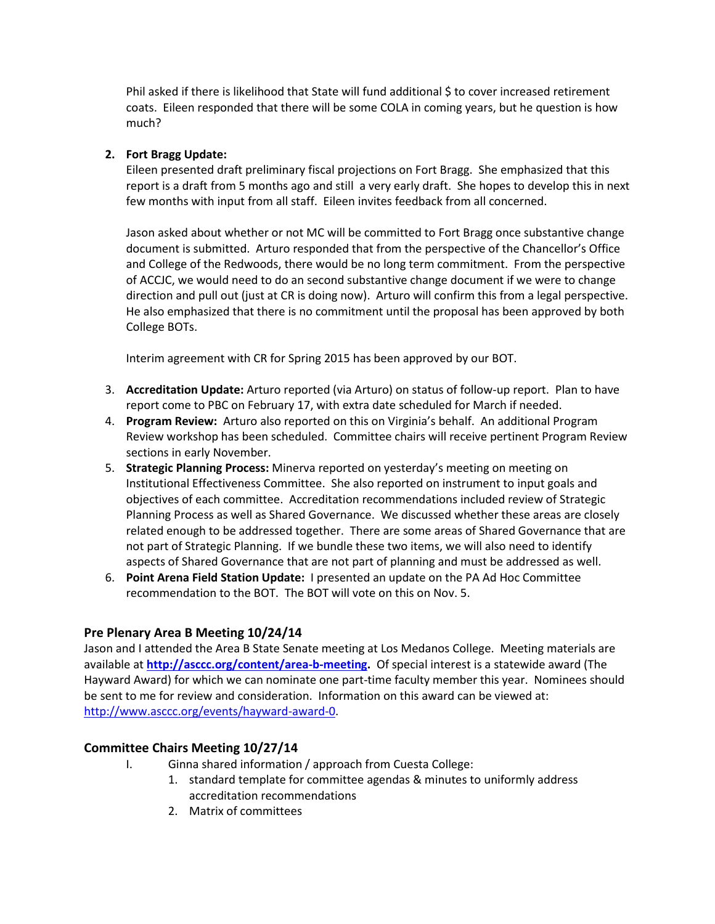Phil asked if there is likelihood that State will fund additional S to cover increased retirement coats. Eileen responded that there will be some COLA in coming years, but he question is how much?

## **2. Fort Bragg Update:**

Eileen presented draft preliminary fiscal projections on Fort Bragg. She emphasized that this report is a draft from 5 months ago and still a very early draft. She hopes to develop this in next few months with input from all staff. Eileen invites feedback from all concerned.

Jason asked about whether or not MC will be committed to Fort Bragg once substantive change document is submitted. Arturo responded that from the perspective of the Chancellor's Office and College of the Redwoods, there would be no long term commitment. From the perspective of ACCJC, we would need to do an second substantive change document if we were to change direction and pull out (just at CR is doing now). Arturo will confirm this from a legal perspective. He also emphasized that there is no commitment until the proposal has been approved by both College BOTs.

Interim agreement with CR for Spring 2015 has been approved by our BOT.

- 3. **Accreditation Update:** Arturo reported (via Arturo) on status of follow-up report. Plan to have report come to PBC on February 17, with extra date scheduled for March if needed.
- 4. **Program Review:** Arturo also reported on this on Virginia's behalf. An additional Program Review workshop has been scheduled. Committee chairs will receive pertinent Program Review sections in early November.
- 5. **Strategic Planning Process:** Minerva reported on yesterday's meeting on meeting on Institutional Effectiveness Committee. She also reported on instrument to input goals and objectives of each committee. Accreditation recommendations included review of Strategic Planning Process as well as Shared Governance. We discussed whether these areas are closely related enough to be addressed together. There are some areas of Shared Governance that are not part of Strategic Planning. If we bundle these two items, we will also need to identify aspects of Shared Governance that are not part of planning and must be addressed as well.
- 6. **Point Arena Field Station Update:** I presented an update on the PA Ad Hoc Committee recommendation to the BOT. The BOT will vote on this on Nov. 5.

## **Pre Plenary Area B Meeting 10/24/14**

Jason and I attended the Area B State Senate meeting at Los Medanos College. Meeting materials are available at **[http://asccc.org/content/area-b-meeting.](http://asccc.org/content/area-b-meeting)** Of special interest is a statewide award (The Hayward Award) for which we can nominate one part-time faculty member this year. Nominees should be sent to me for review and consideration. Information on this award can be viewed at: [http://www.asccc.org/events/hayward-award-0.](http://www.asccc.org/events/hayward-award-0)

## **Committee Chairs Meeting 10/27/14**

- I. Ginna shared information / approach from Cuesta College:
	- 1. standard template for committee agendas & minutes to uniformly address accreditation recommendations
	- 2. Matrix of committees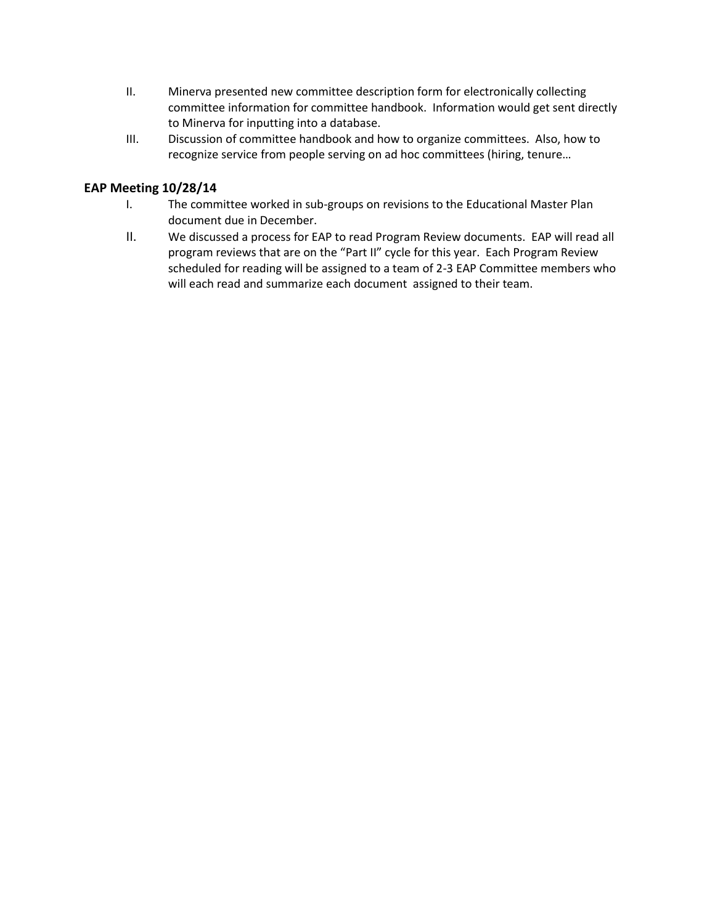- II. Minerva presented new committee description form for electronically collecting committee information for committee handbook. Information would get sent directly to Minerva for inputting into a database.
- III. Discussion of committee handbook and how to organize committees. Also, how to recognize service from people serving on ad hoc committees (hiring, tenure…

## **EAP Meeting 10/28/14**

- I. The committee worked in sub-groups on revisions to the Educational Master Plan document due in December.
- II. We discussed a process for EAP to read Program Review documents. EAP will read all program reviews that are on the "Part II" cycle for this year. Each Program Review scheduled for reading will be assigned to a team of 2-3 EAP Committee members who will each read and summarize each document assigned to their team.